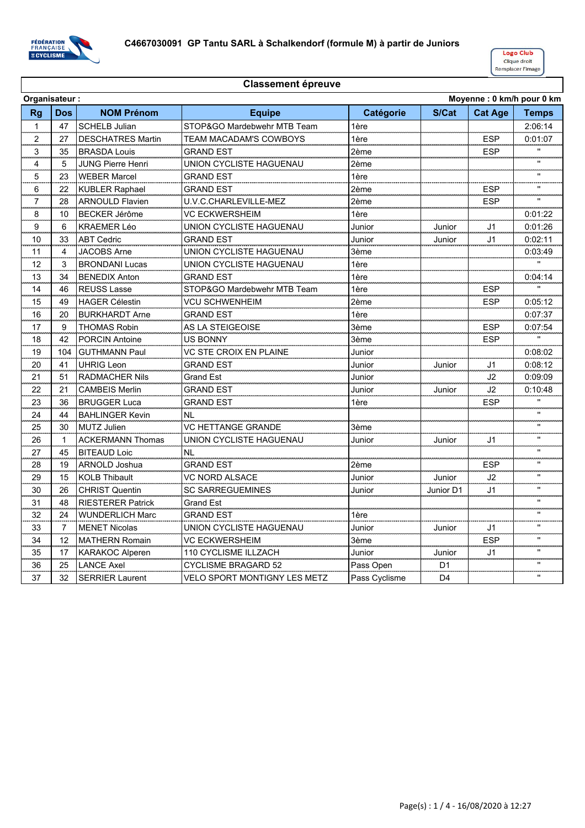



|                | Moyenne: 0 km/h pour 0 km<br>Organisateur: |                          |                              |               |                |                |                    |
|----------------|--------------------------------------------|--------------------------|------------------------------|---------------|----------------|----------------|--------------------|
| <b>Rg</b>      | <b>Dos</b>                                 | <b>NOM Prénom</b>        | <b>Equipe</b>                | Catégorie     | S/Cat          | <b>Cat Age</b> | <b>Temps</b>       |
| $\mathbf{1}$   | 47                                         | <b>SCHELB Julian</b>     | STOP&GO Mardebwehr MTB Team  | 1ère          |                |                | 2:06:14            |
| 2              | 27                                         | <b>DESCHATRES Martin</b> | TEAM MACADAM'S COWBOYS       | 1ère          |                | <b>ESP</b>     | 0:01:07            |
| 3              | 35                                         | <b>BRASDA Louis</b>      | <b>GRAND EST</b>             | 2ème          |                | <b>ESP</b>     | $\mathbf{u}$       |
| 4              | 5                                          | <b>JUNG Pierre Henri</b> | UNION CYCLISTE HAGUENAU      | 2ème          |                |                | $\mathbf{u}$       |
| $\overline{5}$ | 23                                         | <b>WEBER Marcel</b>      | <b>GRAND EST</b>             | 1ère          |                |                | $\mathbf{u}$       |
| 6<br>.         | 22                                         | <b>KUBLER Raphael</b>    | GRAND EST                    | 2ème          |                | <b>ESP</b>     |                    |
| 7              | 28                                         | <b>ARNOULD Flavien</b>   | U.V.C.CHARLEVILLE-MEZ        | 2ème          |                | ESP            |                    |
| 8              | 10                                         | <b>BECKER Jérôme</b>     | VC ECKWERSHEIM               | 1ère          |                |                | 0:01:22            |
| 9              | 6                                          | <b>KRAEMER Léo</b>       | UNION CYCLISTE HAGUENAU      | Junior        | Junior         | J <sub>1</sub> | 0:01:26            |
| 10             | 33                                         | <b>ABT Cedric</b>        | <b>GRAND EST</b>             | Junior        | Junior         | J <sub>1</sub> | 0:02:11            |
| 11             | 4                                          | <b>JACOBS Arne</b>       | UNION CYCLISTE HAGUENAU      | 3ème          |                |                | 0:03:49            |
| 12             | 3                                          | <b>BRONDANI Lucas</b>    | UNION CYCLISTE HAGUENAU      | 1ère          |                |                | $\mathbf{u}$       |
| 13             | 34                                         | <b>BENEDIX Anton</b>     | <b>GRAND EST</b>             | 1ère          |                |                | 0:04:14            |
| 14             | 46                                         | <b>REUSS Lasse</b>       | STOP&GO Mardebwehr MTB Team  | 1ère          |                | <b>ESP</b>     | $\mathbf{u}$       |
| 15             | 49                                         | <b>HAGER Célestin</b>    | VCU SCHWENHEIM               | 2ème          |                | <b>ESP</b>     | 0:05:12            |
| 16             | 20                                         | <b>BURKHARDT Arne</b>    | <b>GRAND EST</b>             | 1ère          |                |                | 0:07:37            |
| 17             | 9                                          | <b>THOMAS Robin</b>      | AS LA STEIGEOISE             | 3ème          |                | <b>ESP</b>     | 0:07:54            |
| 18             | 42                                         | <b>PORCIN Antoine</b>    | US BONNY                     | 3ème          |                | <b>ESP</b>     | $\mathbf{u}$       |
| 19             | 104                                        | <b>GUTHMANN Paul</b>     | VC STE CROIX EN PLAINE       | Junior        |                |                | 0:08:02            |
| 20             | 41                                         | <b>UHRIG Leon</b>        | <b>GRAND EST</b>             | Junior        | Junior         | J <sub>1</sub> | 0:08:12            |
| 21             | 51                                         | <b>RADMACHER Nils</b>    | <b>Grand Est</b>             | Junior        |                | J2             | 0:09:09            |
| 22             | 21                                         | <b>CAMBEIS Merlin</b>    | <b>GRAND EST</b>             | Junior        | Junior         | J2             | 0:10:48            |
| 23             | 36                                         | <b>BRUGGER Luca</b>      | <b>GRAND EST</b>             | 1ère          |                | <b>ESP</b>     | $\mathbf{u}$       |
| 24             | 44                                         | <b>BAHLINGER Kevin</b>   | <b>NL</b>                    |               |                |                | $\mathbf{u}$       |
| 25             | 30                                         | <b>MUTZ Julien</b>       | VC HETTANGE GRANDE           | 3ème          |                |                | $\pmb{\mathsf{u}}$ |
| 26             | 1                                          | <b>ACKERMANN Thomas</b>  | UNION CYCLISTE HAGUENAU      | Junior        | Junior         | J1             |                    |
| 27             | 45                                         | <b>BITEAUD Loic</b>      | ΝL                           |               |                |                | $\mathbf{u}$       |
| 28             | 19                                         | <b>ARNOLD Joshua</b>     | <b>GRAND EST</b>             | 2ème          |                | <b>ESP</b>     | $\pmb{\mathsf{u}}$ |
| 29             | 15                                         | <b>KOLB Thibault</b>     | VC NORD ALSACE               | Junior        | Junior         | J2             | $\mathbf{u}$       |
| 30             | 26                                         | <b>CHRIST Quentin</b>    | <b>SC SARREGUEMINES</b>      | Junior        | Junior D1      | J <sub>1</sub> | $\pmb{\mathsf{u}}$ |
| 31             | 48                                         | <b>RIESTERER Patrick</b> | <b>Grand Est</b>             |               |                |                | $\mathbf{u}$       |
| 32             | 24                                         | <b>WUNDERLICH Marc</b>   | <b>GRAND EST</b>             | 1ère          |                |                | $\pmb{\mathsf{u}}$ |
| 33             | $\overline{I}$                             | <b>MENET Nicolas</b>     | UNION CYCLISTE HAGUENAU      | Junior        | Junior         | J1             | $\mathbf{H}$       |
| 34<br>z. .     | 12                                         | <b>MATHERN Romain</b>    | VC ECKWERSHEIM               | 3ème          |                | ESP            |                    |
| 35             | 17                                         | <b>KARAKOC Alperen</b>   | 110 CYCLISME ILLZACH         | Junior        | Junior         | J1             |                    |
| 36             | 25                                         | <b>LANCE Axel</b>        | <b>CYCLISME BRAGARD 52</b>   | Pass Open     | D <sub>1</sub> |                | $\mathbf{u}$       |
| 37             | 32                                         | <b>SERRIER Laurent</b>   | VELO SPORT MONTIGNY LES METZ | Pass Cyclisme | D4             |                | $\mathbf{u}$       |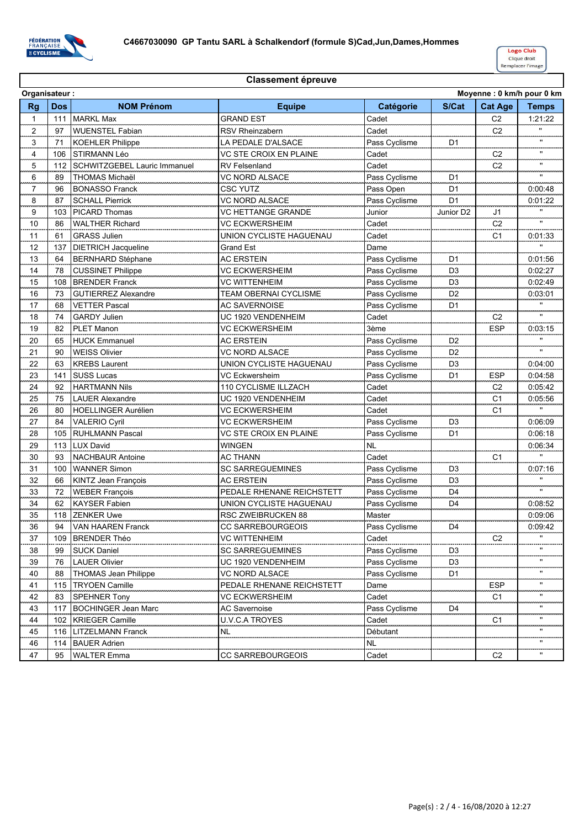

|                         | Moyenne: 0 km/h pour 0 km<br>Organisateur: |                              |                               |               |                |                |                    |  |
|-------------------------|--------------------------------------------|------------------------------|-------------------------------|---------------|----------------|----------------|--------------------|--|
| <b>Rg</b>               | <b>Dos</b>                                 | <b>NOM Prénom</b>            | <b>Equipe</b>                 | Catégorie     | S/Cat          | <b>Cat Age</b> | <b>Temps</b>       |  |
| 1                       | 111                                        | <b>MARKL Max</b>             | <b>GRAND EST</b>              | Cadet         |                | C <sub>2</sub> | 1:21:22            |  |
| $\overline{2}$          | 97                                         | <b>WUENSTEL Fabian</b>       | RSV Rheinzabern               | Cadet         |                | C <sub>2</sub> | $\mathbf{u}$       |  |
| $\overline{\mathbf{3}}$ | 71                                         | <b>KOEHLER Philippe</b>      | LA PEDALE D'ALSACE            | Pass Cyclisme | D <sub>1</sub> |                |                    |  |
| $\overline{4}$          | 106                                        | STIRMANN Léo                 | VC STE CROIX EN PLAINE        | Cadet         |                | C <sub>2</sub> | an an              |  |
| 5                       | 112                                        | SCHWITZGEBEL Lauric Immanuel | <b>RV Felsenland</b>          | Cadet         |                | C <sub>2</sub> |                    |  |
| 6                       | 89                                         | <b>THOMAS Michaël</b>        | VC NORD ALSACE                | Pass Cyclisme | D <sub>1</sub> |                | $\mathbf{u}$       |  |
| $\overline{7}$          | 96                                         | <b>BONASSO Franck</b>        | <b>CSC YUTZ</b>               | Pass Open     | D <sub>1</sub> |                | 0:00:48            |  |
| 8                       | 87                                         | <b>SCHALL Pierrick</b>       | VC NORD ALSACE                | Pass Cyclisme | D <sub>1</sub> |                | 0:01:22            |  |
| 9                       | 103                                        | <b>PICARD Thomas</b>         | VC HETTANGE GRANDE            | Junior        | Junior D2      | J1             |                    |  |
| 10                      | 86                                         | <b>WALTHER Richard</b>       | <b>VC ECKWERSHEIM</b>         | Cadet         |                | C <sub>2</sub> | $\mathbf{u}$       |  |
| 11                      | 61                                         | <b>GRASS Julien</b>          | UNION CYCLISTE HAGUENAU       | Cadet         |                | C <sub>1</sub> | 0:01:33            |  |
| 12                      | 137                                        | <b>DIETRICH Jacqueline</b>   | Grand Est                     | Dame          |                |                |                    |  |
| 13                      | 64                                         | <b>BERNHARD Stéphane</b>     | <b>AC ERSTEIN</b>             | Pass Cyclisme | D <sub>1</sub> |                | 0:01:56            |  |
| 14                      | 78                                         | <b>CUSSINET Philippe</b>     | <b>VC ECKWERSHEIM</b>         | Pass Cyclisme | D <sub>3</sub> |                | 0:02:27            |  |
| 15                      | 108                                        | <b>BRENDER Franck</b>        | <b>VC WITTENHEIM</b>          | Pass Cyclisme | D <sub>3</sub> |                | 0:02:49            |  |
| 16                      | 73                                         | GUTIERREZ Alexandre          | <b>TEAM OBERNAI CYCLISME</b>  | Pass Cyclisme | D2             |                | 0:03:01            |  |
| $\frac{17}{2}$          | 68                                         | <b>VETTER Pascal</b>         | <b>AC SAVERNOISE</b>          | Pass Cyclisme | D <sub>1</sub> |                | anana.             |  |
| 18                      | 74                                         | <b>GARDY Julien</b>          | UC 1920 VENDENHEIM            | Cadet         |                | C <sub>2</sub> |                    |  |
| 19                      | 82                                         | <b>PLET Manon</b>            | <b>VC ECKWERSHEIM</b>         | 3ème          |                | <b>ESP</b>     | 0:03:15            |  |
| 20                      | 65                                         | <b>HUCK Emmanuel</b>         | <b>AC ERSTEIN</b>             | Pass Cyclisme | D <sub>2</sub> |                |                    |  |
| 21                      | 90                                         | <b>WEISS Olivier</b>         | VC NORD ALSACE                | Pass Cyclisme | D <sub>2</sub> |                | $\mathbf{u}$       |  |
| 22                      | 63                                         | <b>KREBS Laurent</b>         | UNION CYCLISTE HAGUENAU       | Pass Cyclisme | D <sub>3</sub> |                | 0:04:00            |  |
| 23                      | 141                                        | <b>SUSS Lucas</b>            | VC Eckwersheim                | Pass Cyclisme | D <sub>1</sub> | <b>ESP</b>     | 0:04:58            |  |
| 24                      | 92                                         | <b>HARTMANN Nils</b>         | <b>110 CYCLISME ILLZACH</b>   | Cadet         |                | C <sub>2</sub> | 0:05:42            |  |
| 25                      | 75                                         | <b>LAUER Alexandre</b>       | UC 1920 VENDENHEIM            | Cadet         |                | C <sub>1</sub> | 0:05:56            |  |
| 26                      | 80                                         | <b>HOELLINGER Aurélien</b>   | <b>VC ECKWERSHEIM</b>         | Cadet         |                | C <sub>1</sub> |                    |  |
| 27                      | 84                                         | <b>VALERIO Cyril</b>         | <b>VC ECKWERSHEIM</b>         | Pass Cyclisme | D <sub>3</sub> |                | 0:06:09            |  |
| 28                      | 105                                        | <b>RUHLMANN Pascal</b>       | <b>VC STE CROIX EN PLAINE</b> | Pass Cyclisme | D <sub>1</sub> |                | 0:06:18            |  |
| 29                      | 113                                        | <b>LUX David</b>             | <b>WINGEN</b>                 | <b>NL</b>     |                |                | 0:06:34            |  |
| 30                      | 93                                         | <b>NACHBAUR Antoine</b>      | <b>AC THANN</b>               | Cadet         |                | C <sub>1</sub> | $\mathbf{u}$       |  |
| 31                      | 100                                        | <b>WANNER Simon</b>          | <b>SC SARREGUEMINES</b>       | Pass Cyclisme | D <sub>3</sub> |                | 0:07:16            |  |
| 32                      | 66                                         | <b>KINTZ Jean Francois</b>   | <b>AC ERSTEIN</b>             | Pass Cyclisme | D <sub>3</sub> |                |                    |  |
| 33                      | 72                                         | <b>WEBER François</b>        | PEDALE RHENANE REICHSTETT     | Pass Cyclisme | D <sub>4</sub> |                |                    |  |
| 34                      | 62                                         | <b>KAYSER Fabien</b>         | UNION CYCLISTE HAGUENAU       | Pass Cyclisme | D <sub>4</sub> |                | 0:08:52            |  |
| 35                      | 118                                        | <b>ZENKER Uwe</b>            | RSC ZWEIBRUCKEN 88            | Master        |                |                | 0:09:06            |  |
| 36                      | 94                                         | <b>VAN HAAREN Franck</b>     | <b>CC SARREBOURGEOIS</b>      | Pass Cyclisme | D4             |                | 0:09:42            |  |
| 37                      | 109                                        | <b>BRENDER Théo</b>          | VC WITTENHEIM                 | Cadet         |                | C <sub>2</sub> |                    |  |
| 38                      | 99                                         | <b>SUCK Daniel</b>           | <b>SC SARREGUEMINES</b>       | Pass Cyclisme | D3             |                |                    |  |
| 39                      | 76                                         | <b>LAUER Olivier</b>         | UC 1920 VENDENHEIM            | Pass Cyclisme | D <sub>3</sub> |                |                    |  |
| 40                      | 88                                         | <b>THOMAS Jean Philippe</b>  | VC NORD ALSACE                | Pass Cyclisme | D <sub>1</sub> |                |                    |  |
| 41                      | 115                                        | <b>TRYOEN Camille</b>        | PEDALE RHENANE REICHSTETT     | Dame          |                | <b>ESP</b>     |                    |  |
| 42                      | 83                                         | <b>SPEHNER Tony</b>          | VC ECKWERSHEIM                | Cadet         |                | C1             |                    |  |
| 43                      | 117                                        | <b>BOCHINGER Jean Marc</b>   | AC Savernoise                 | Pass Cyclisme | D4             |                |                    |  |
| 44                      | 102                                        | <b>KRIEGER Camille</b>       | U.V.C.A TROYES                | Cadet         |                | C <sub>1</sub> |                    |  |
| 45                      | 116                                        | LITZELMANN Franck            | NL.                           | Débutant      |                |                |                    |  |
| 46                      | 114                                        | <b>BAUER Adrien</b>          |                               | NL.           |                |                | $\pmb{\mathsf{u}}$ |  |
| 47                      | 95                                         | <b>WALTER Emma</b>           | <b>CC SARREBOURGEOIS</b>      | Cadet         |                | C <sub>2</sub> |                    |  |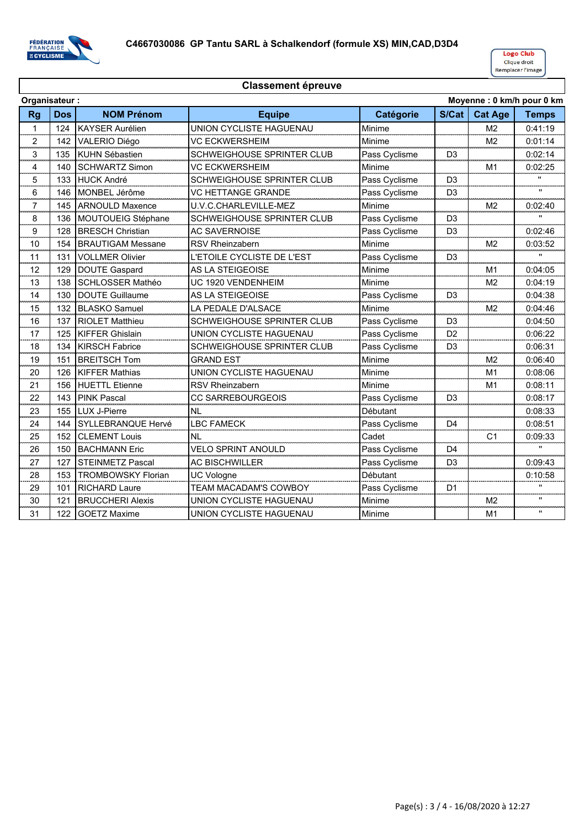

|              | Moyenne: 0 km/h pour 0 km<br>Organisateur: |                           |                                   |               |                |                |              |
|--------------|--------------------------------------------|---------------------------|-----------------------------------|---------------|----------------|----------------|--------------|
| <b>Rg</b>    | <b>Dos</b>                                 | <b>NOM Prénom</b>         | <b>Equipe</b>                     | Catégorie     | S/Cat          | <b>Cat Age</b> | <b>Temps</b> |
| $\mathbf{1}$ | 124                                        | <b>KAYSER Aurélien</b>    | UNION CYCLISTE HAGUENAU           | Minime        |                | M <sub>2</sub> | 0:41:19      |
| 2            | 142                                        | VALERIO Diégo             | VC ECKWERSHEIM                    | Minime        |                | M <sub>2</sub> | 0:01:14      |
| 3            | 135                                        | <b>KUHN Sébastien</b>     | <b>SCHWEIGHOUSE SPRINTER CLUB</b> | Pass Cyclisme | D <sub>3</sub> |                | 0:02:14      |
| 4            | 140                                        | <b>SCHWARTZ Simon</b>     | <b>VC ECKWERSHEIM</b>             | Minime        |                | M <sub>1</sub> | 0:02:25      |
| 5            | 133                                        | <b>HUCK André</b>         | SCHWEIGHOUSE SPRINTER CLUB        | Pass Cyclisme | D <sub>3</sub> |                | $\mathbf{H}$ |
| 6            | 146                                        | MONBEL Jérôme             | <b>VC HETTANGE GRANDE</b>         | Pass Cyclisme | D <sub>3</sub> |                | .,           |
| 7            | 145                                        | <b>ARNOULD Maxence</b>    | U.V.C.CHARLEVILLE-MEZ             | Minime        |                | M2             | 0:02:40      |
| 8            | 136                                        | MOUTOUEIG Stéphane        | SCHWEIGHOUSE SPRINTER CLUB        | Pass Cyclisme | D <sub>3</sub> |                |              |
| 9            | 128                                        | <b>BRESCH Christian</b>   | <b>AC SAVERNOISE</b>              | Pass Cyclisme | D <sub>3</sub> |                | 0:02:46      |
| 10           | 154                                        | <b>BRAUTIGAM Messane</b>  | <b>RSV Rheinzabern</b>            | Minime        |                | M <sub>2</sub> | 0:03:52      |
| 11           | 131                                        | <b>VOLLMER Olivier</b>    | L'ETOILE CYCLISTE DE L'EST        | Pass Cyclisme | D <sub>3</sub> |                |              |
| 12           | 129                                        | DOUTE Gaspard             | AS LA STEIGEOISE                  | Minime        |                | M <sub>1</sub> | 0:04:05      |
| 13           | 138                                        | <b>SCHLOSSER Mathéo</b>   | UC 1920 VENDENHEIM                | Minime        |                | M <sub>2</sub> | 0:04:19      |
| 14           | 130                                        | <b>DOUTE Guillaume</b>    | <b>AS LA STEIGEOISE</b>           | Pass Cyclisme | D <sub>3</sub> |                | 0:04:38      |
| 15           | 132                                        | <b>BLASKO Samuel</b>      | LA PEDALE D'ALSACE                | Minime        |                | M <sub>2</sub> | 0:04:46      |
| 16           | 137                                        | <b>RIOLET Matthieu</b>    | SCHWEIGHOUSE SPRINTER CLUB        | Pass Cyclisme | D <sub>3</sub> |                | 0:04:50      |
| 17           | 125                                        | <b>KIFFER Ghislain</b>    | UNION CYCLISTE HAGUENAU           | Pass Cyclisme | D <sub>2</sub> |                | 0:06:22      |
| 18           | 134                                        | <b>KIRSCH Fabrice</b>     | SCHWEIGHOUSE SPRINTER CLUB        | Pass Cyclisme | D <sub>3</sub> |                | 0:06:31      |
| 19           | 151                                        | <b>BREITSCH Tom</b>       | <b>GRAND EST</b>                  | Minime        |                | M <sub>2</sub> | 0:06:40      |
| 20           | 126                                        | <b>KIFFER Mathias</b>     | UNION CYCLISTE HAGUENAU           | Minime        |                | M1             | 0:08:06      |
| 21           | 156                                        | <b>HUETTL Etienne</b>     | <b>RSV Rheinzabern</b>            | Minime        |                | M1             | 0:08:11      |
| 22           | 143                                        | <b>PINK Pascal</b>        | CC SARREBOURGEOIS                 | Pass Cyclisme | D3             |                | 0:08:17      |
| 23           | 155                                        | <b>LUX J-Pierre</b>       | <b>NL</b>                         | Débutant      |                |                | 0:08:33      |
| 24           | 144                                        | SYLLEBRANQUE Hervé        | <b>LBC FAMECK</b>                 | Pass Cyclisme | D <sub>4</sub> |                | 0:08:51      |
| 25           | 152                                        | <b>CLEMENT Louis</b>      | NL                                | Cadet         |                | C <sub>1</sub> | 0:09:33      |
| 26           | 150                                        | <b>BACHMANN Eric</b>      | <b>VELO SPRINT ANOULD</b>         | Pass Cyclisme | D <sub>4</sub> |                |              |
| 27           | 127                                        | <b>STEINMETZ Pascal</b>   | <b>AC BISCHWILLER</b>             | Pass Cyclisme | D <sub>3</sub> |                | 0:09:43      |
| 28           | 153                                        | <b>TROMBOWSKY Florian</b> | <b>UC Vologne</b>                 | Débutant      |                |                | 0:10:58      |
| 29           | 101                                        | <b>RICHARD Laure</b>      | TEAM MACADAM'S COWBOY             | Pass Cyclisme | D <sub>1</sub> |                |              |
| 30           | 121                                        | <b>BRUCCHERI Alexis</b>   | UNION CYCLISTE HAGUENAU           | Minime        |                | M <sub>2</sub> |              |
| 31           | 122                                        | <b>GOETZ Maxime</b>       | UNION CYCLISTE HAGUENAU           | Minime        |                | M <sub>1</sub> | $\mathbf{H}$ |